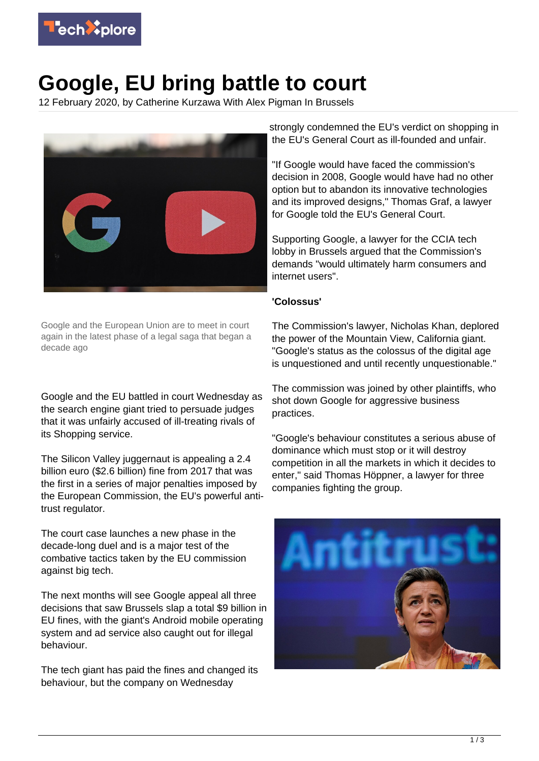

## **Google, EU bring battle to court**

12 February 2020, by Catherine Kurzawa With Alex Pigman In Brussels



Google and the European Union are to meet in court again in the latest phase of a legal saga that began a decade ago

Google and the EU battled in court Wednesday as the search engine giant tried to persuade judges that it was unfairly accused of ill-treating rivals of its Shopping service.

The Silicon Valley juggernaut is appealing a 2.4 billion euro (\$2.6 billion) fine from 2017 that was the first in a series of major penalties imposed by the European Commission, the EU's powerful antitrust regulator.

The court case launches a new phase in the decade-long duel and is a major test of the combative tactics taken by the EU commission against big tech.

The next months will see Google appeal all three decisions that saw Brussels slap a total \$9 billion in EU fines, with the giant's Android mobile operating system and ad service also caught out for illegal behaviour.

The tech giant has paid the fines and changed its behaviour, but the company on Wednesday

strongly condemned the EU's verdict on shopping in the EU's General Court as ill-founded and unfair.

"If Google would have faced the commission's decision in 2008, Google would have had no other option but to abandon its innovative technologies and its improved designs," Thomas Graf, a lawyer for Google told the EU's General Court.

Supporting Google, a lawyer for the CCIA tech lobby in Brussels argued that the Commission's demands "would ultimately harm consumers and internet users".

## **'Colossus'**

The Commission's lawyer, Nicholas Khan, deplored the power of the Mountain View, California giant. "Google's status as the colossus of the digital age is unquestioned and until recently unquestionable."

The commission was joined by other plaintiffs, who shot down Google for aggressive business practices.

"Google's behaviour constitutes a serious abuse of dominance which must stop or it will destroy competition in all the markets in which it decides to enter," said Thomas Höppner, a lawyer for three companies fighting the group.

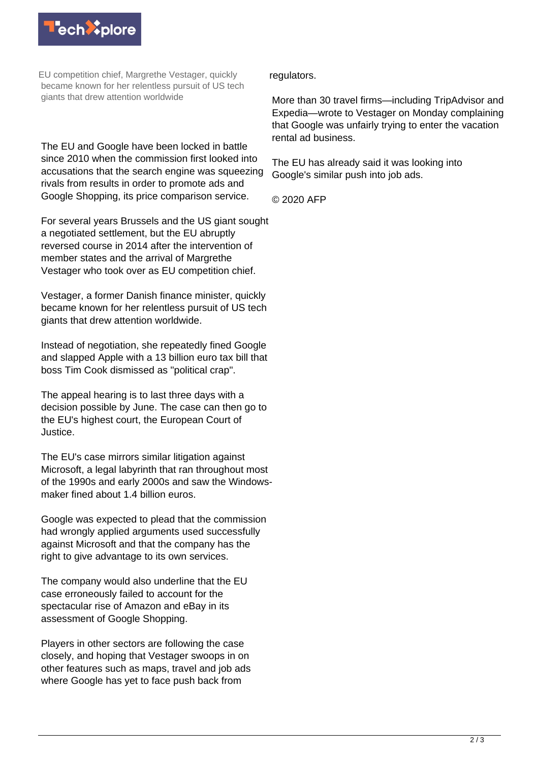

EU competition chief, Margrethe Vestager, quickly became known for her relentless pursuit of US tech giants that drew attention worldwide

The EU and Google have been locked in battle since 2010 when the commission first looked into accusations that the search engine was squeezing rivals from results in order to promote ads and Google Shopping, its price comparison service.

For several years Brussels and the US giant sought a negotiated settlement, but the EU abruptly reversed course in 2014 after the intervention of member states and the arrival of Margrethe Vestager who took over as EU competition chief.

Vestager, a former Danish finance minister, quickly became known for her relentless pursuit of US tech giants that drew attention worldwide.

Instead of negotiation, she repeatedly fined Google and slapped Apple with a 13 billion euro tax bill that boss Tim Cook dismissed as "political crap".

The appeal hearing is to last three days with a decision possible by June. The case can then go to the EU's highest court, the European Court of Justice.

The EU's case mirrors similar litigation against Microsoft, a legal labyrinth that ran throughout most of the 1990s and early 2000s and saw the Windowsmaker fined about 1.4 billion euros.

Google was expected to plead that the commission had wrongly applied arguments used successfully against Microsoft and that the company has the right to give advantage to its own services.

The company would also underline that the EU case erroneously failed to account for the spectacular rise of Amazon and eBay in its assessment of Google Shopping.

Players in other sectors are following the case closely, and hoping that Vestager swoops in on other features such as maps, travel and job ads where Google has yet to face push back from

regulators.

More than 30 travel firms—including TripAdvisor and Expedia—wrote to Vestager on Monday complaining that Google was unfairly trying to enter the vacation rental ad business.

The EU has already said it was looking into Google's similar push into job ads.

© 2020 AFP